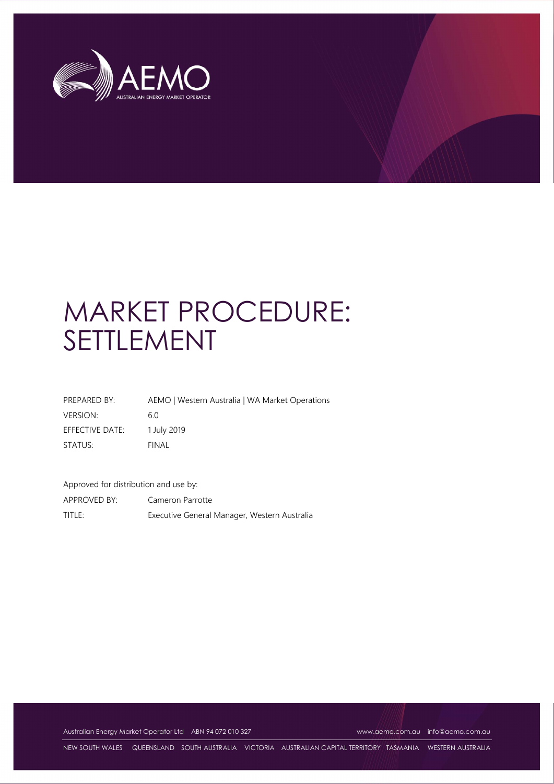

# MARKET PROCEDURE: SETTLEMENT

| PREPARED BY:    | AEMO   Western Australia   WA Market Operations |
|-----------------|-------------------------------------------------|
| <b>VERSION:</b> | 6.0                                             |
| EFFECTIVE DATE: | 1 July 2019                                     |
| STATUS:         | FINAL                                           |

Approved for distribution and use by:

APPROVED BY: Cameron Parrotte TITLE: Executive General Manager, Western Australia

Australian Energy Market Operator Ltd ABN 94 072 010 327 www.aemo.com.au info@aemo.com.au info@aemo.com.au

NEW SOUTH WALES QUEENSLAND SOUTH AUSTRALIA VICTORIA AUSTRALIAN CAPITAL TERRITORY TASMANIA WESTERN AUSTRALIA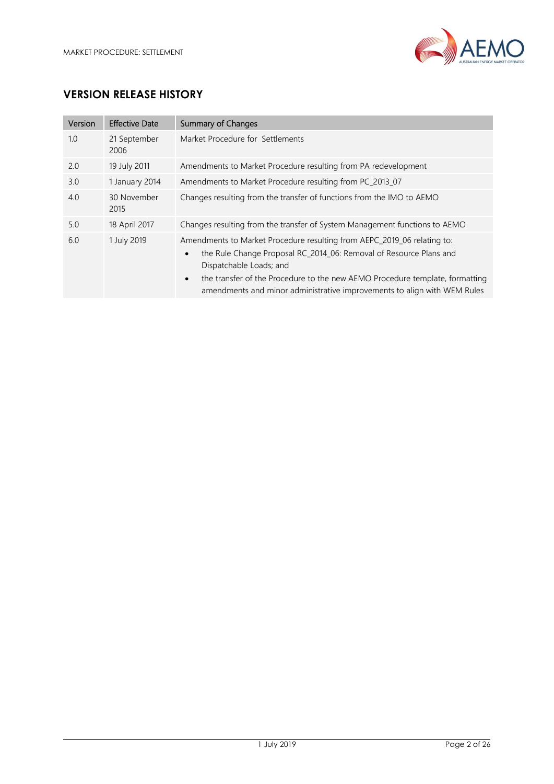

# VERSION RELEASE HISTORY

| Version | <b>Effective Date</b> | <b>Summary of Changes</b>                                                                                                                                                                                                                                                                                                                                      |
|---------|-----------------------|----------------------------------------------------------------------------------------------------------------------------------------------------------------------------------------------------------------------------------------------------------------------------------------------------------------------------------------------------------------|
| 1.0     | 21 September<br>2006  | Market Procedure for Settlements                                                                                                                                                                                                                                                                                                                               |
| 2.0     | 19 July 2011          | Amendments to Market Procedure resulting from PA redevelopment                                                                                                                                                                                                                                                                                                 |
| 3.0     | 1 January 2014        | Amendments to Market Procedure resulting from PC_2013_07                                                                                                                                                                                                                                                                                                       |
| 4.0     | 30 November<br>2015   | Changes resulting from the transfer of functions from the IMO to AEMO                                                                                                                                                                                                                                                                                          |
| 5.0     | 18 April 2017         | Changes resulting from the transfer of System Management functions to AEMO                                                                                                                                                                                                                                                                                     |
| 6.0     | 1 July 2019           | Amendments to Market Procedure resulting from AEPC_2019_06 relating to:<br>the Rule Change Proposal RC_2014_06: Removal of Resource Plans and<br>$\bullet$<br>Dispatchable Loads; and<br>the transfer of the Procedure to the new AEMO Procedure template, formatting<br>$\bullet$<br>amendments and minor administrative improvements to align with WEM Rules |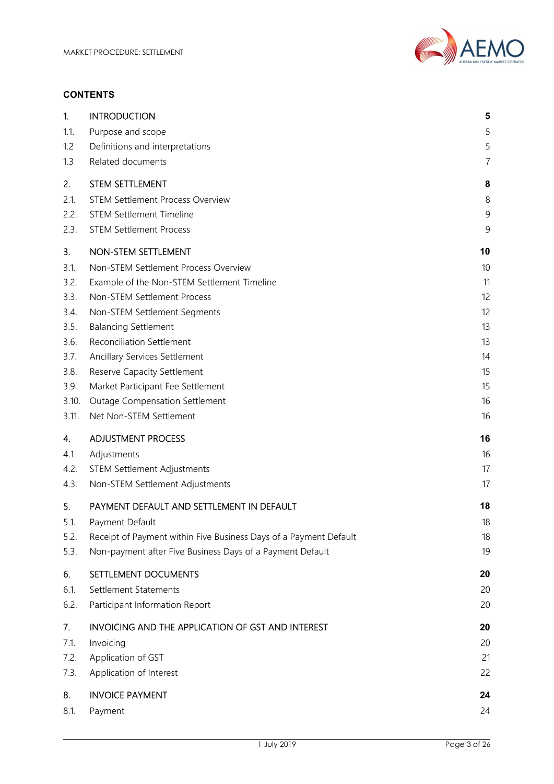

#### **CONTENTS**

| 1.    | <b>INTRODUCTION</b>                                               | 5              |
|-------|-------------------------------------------------------------------|----------------|
| 1.1.  | Purpose and scope                                                 | 5              |
| 1.2   | Definitions and interpretations                                   | 5              |
| 1.3   | Related documents                                                 | $\overline{7}$ |
| 2.    | <b>STEM SETTLEMENT</b>                                            | 8              |
| 2.1.  | <b>STEM Settlement Process Overview</b>                           | 8              |
| 2.2.  | <b>STEM Settlement Timeline</b>                                   | 9              |
| 2.3.  | <b>STEM Settlement Process</b>                                    | 9              |
| 3.    | NON-STEM SETTLEMENT                                               | 10             |
| 3.1.  | Non-STEM Settlement Process Overview                              | 10             |
| 3.2.  | Example of the Non-STEM Settlement Timeline                       | 11             |
| 3.3.  | Non-STEM Settlement Process                                       | 12             |
| 3.4.  | Non-STEM Settlement Segments                                      | 12             |
| 3.5.  | <b>Balancing Settlement</b>                                       | 13             |
| 3.6.  | <b>Reconciliation Settlement</b>                                  | 13             |
| 3.7.  | Ancillary Services Settlement                                     | 14             |
| 3.8.  | Reserve Capacity Settlement                                       | 15             |
| 3.9.  | Market Participant Fee Settlement                                 | 15             |
| 3.10. | <b>Outage Compensation Settlement</b>                             | 16             |
| 3.11. | Net Non-STEM Settlement                                           | 16             |
| 4.    | <b>ADJUSTMENT PROCESS</b>                                         | 16             |
| 4.1.  | Adjustments                                                       | 16             |
| 4.2.  | <b>STEM Settlement Adjustments</b>                                | 17             |
| 4.3.  | Non-STEM Settlement Adjustments                                   | 17             |
| 5.    | PAYMENT DEFAULT AND SETTLEMENT IN DEFAULT                         | 18             |
| 5.1.  | Payment Default                                                   | 18             |
| 5.2.  | Receipt of Payment within Five Business Days of a Payment Default | 18             |
| 5.3.  | Non-payment after Five Business Days of a Payment Default         | 19             |
| 6.    | SETTLEMENT DOCUMENTS                                              | 20             |
| 6.1.  | Settlement Statements                                             | 20             |
| 6.2.  | Participant Information Report                                    | 20             |
| 7.    | <b>INVOICING AND THE APPLICATION OF GST AND INTEREST</b>          | 20             |
| 7.1.  | Invoicing                                                         | 20             |
| 7.2.  | Application of GST                                                | 21             |
| 7.3.  | Application of Interest                                           | 22             |
| 8.    | <b>INVOICE PAYMENT</b>                                            | 24             |
| 8.1.  | Payment                                                           | 24             |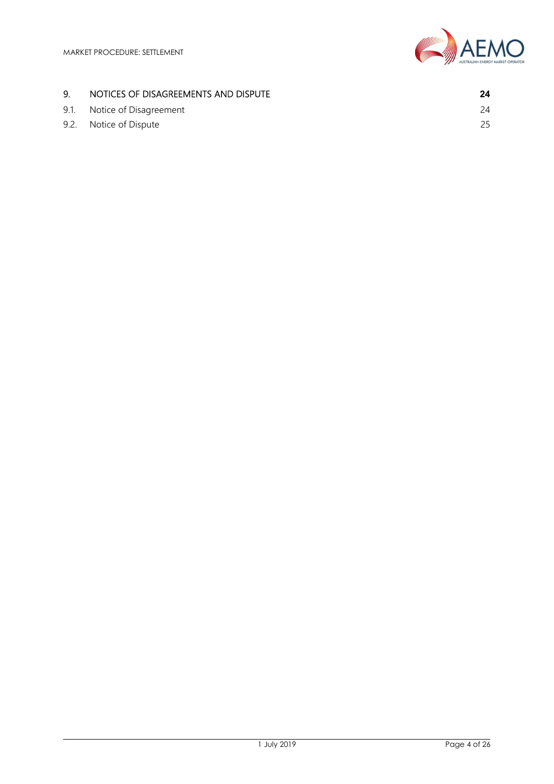

# 9. NOTICES OF DISAGREEMENTS AND DISPUTE **24**

9.1. Notice of Disagreement 24 9.2. Notice of Dispute 25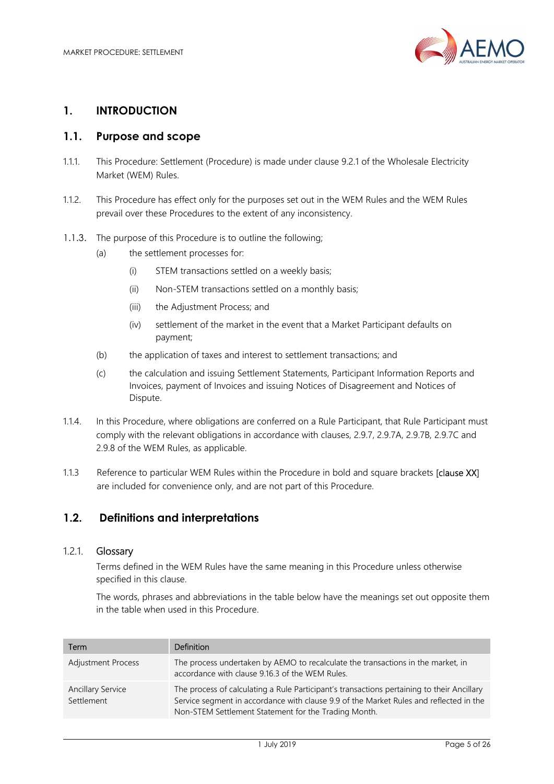

#### 1. INTRODUCTION

#### 1.1. Purpose and scope

- 1.1.1. This Procedure: Settlement (Procedure) is made under clause 9.2.1 of the Wholesale Electricity Market (WEM) Rules.
- 1.1.2. This Procedure has effect only for the purposes set out in the WEM Rules and the WEM Rules prevail over these Procedures to the extent of any inconsistency.
- 1.1.3. The purpose of this Procedure is to outline the following;
	- (a) the settlement processes for:
		- (i) STEM transactions settled on a weekly basis;
		- (ii) Non-STEM transactions settled on a monthly basis;
		- (iii) the Adjustment Process; and
		- (iv) settlement of the market in the event that a Market Participant defaults on payment;
	- (b) the application of taxes and interest to settlement transactions; and
	- (c) the calculation and issuing Settlement Statements, Participant Information Reports and Invoices, payment of Invoices and issuing Notices of Disagreement and Notices of Dispute.
- 1.1.4. In this Procedure, where obligations are conferred on a Rule Participant, that Rule Participant must comply with the relevant obligations in accordance with clauses, 2.9.7, 2.9.7A, 2.9.7B, 2.9.7C and 2.9.8 of the WEM Rules, as applicable.
- 1.1.3 Reference to particular WEM Rules within the Procedure in bold and square brackets [clause XX] are included for convenience only, and are not part of this Procedure.

#### 1.2. Definitions and interpretations

#### 1.2.1. Glossary

Terms defined in the WEM Rules have the same meaning in this Procedure unless otherwise specified in this clause.

The words, phrases and abbreviations in the table below have the meanings set out opposite them in the table when used in this Procedure.

| Term                                   | Definition                                                                                                                                                                                                                                   |
|----------------------------------------|----------------------------------------------------------------------------------------------------------------------------------------------------------------------------------------------------------------------------------------------|
| <b>Adjustment Process</b>              | The process undertaken by AEMO to recalculate the transactions in the market, in<br>accordance with clause 9.16.3 of the WEM Rules.                                                                                                          |
| <b>Ancillary Service</b><br>Settlement | The process of calculating a Rule Participant's transactions pertaining to their Ancillary<br>Service segment in accordance with clause 9.9 of the Market Rules and reflected in the<br>Non-STEM Settlement Statement for the Trading Month. |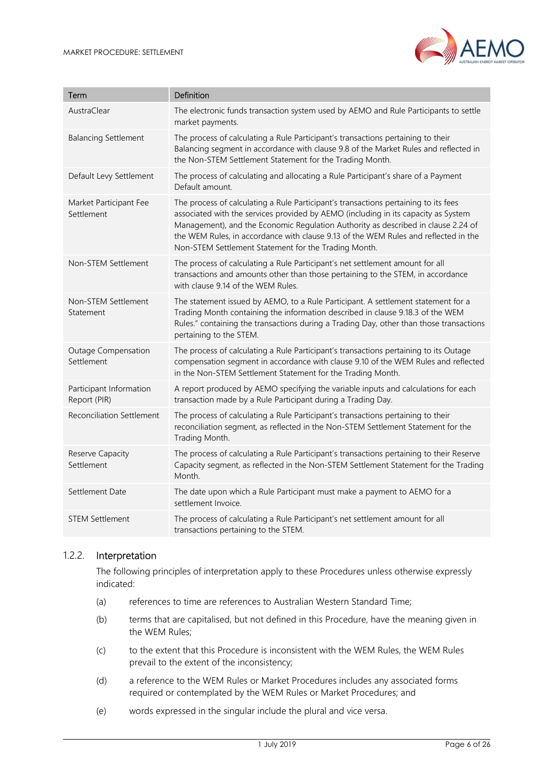

| Term                                    | Definition                                                                                                                                                                                                                                                                                                                                                                                                    |
|-----------------------------------------|---------------------------------------------------------------------------------------------------------------------------------------------------------------------------------------------------------------------------------------------------------------------------------------------------------------------------------------------------------------------------------------------------------------|
| AustraClear                             | The electronic funds transaction system used by AEMO and Rule Participants to settle<br>market payments.                                                                                                                                                                                                                                                                                                      |
| <b>Balancing Settlement</b>             | The process of calculating a Rule Participant's transactions pertaining to their<br>Balancing segment in accordance with clause 9.8 of the Market Rules and reflected in<br>the Non-STEM Settlement Statement for the Trading Month.                                                                                                                                                                          |
| Default Levy Settlement                 | The process of calculating and allocating a Rule Participant's share of a Payment<br>Default amount.                                                                                                                                                                                                                                                                                                          |
| Market Participant Fee<br>Settlement    | The process of calculating a Rule Participant's transactions pertaining to its fees<br>associated with the services provided by AEMO (including in its capacity as System<br>Management), and the Economic Regulation Authority as described in clause 2.24 of<br>the WEM Rules, in accordance with clause 9.13 of the WEM Rules and reflected in the<br>Non-STEM Settlement Statement for the Trading Month. |
| Non-STEM Settlement                     | The process of calculating a Rule Participant's net settlement amount for all<br>transactions and amounts other than those pertaining to the STEM, in accordance<br>with clause 9.14 of the WEM Rules.                                                                                                                                                                                                        |
| Non-STEM Settlement<br>Statement        | The statement issued by AEMO, to a Rule Participant. A settlement statement for a<br>Trading Month containing the information described in clause 9.18.3 of the WEM<br>Rules." containing the transactions during a Trading Day, other than those transactions<br>pertaining to the STEM.                                                                                                                     |
| Outage Compensation<br>Settlement       | The process of calculating a Rule Participant's transactions pertaining to its Outage<br>compensation segment in accordance with clause 9.10 of the WEM Rules and reflected<br>in the Non-STEM Settlement Statement for the Trading Month.                                                                                                                                                                    |
| Participant Information<br>Report (PIR) | A report produced by AEMO specifying the variable inputs and calculations for each<br>transaction made by a Rule Participant during a Trading Day.                                                                                                                                                                                                                                                            |
| Reconciliation Settlement               | The process of calculating a Rule Participant's transactions pertaining to their<br>reconciliation segment, as reflected in the Non-STEM Settlement Statement for the<br>Trading Month.                                                                                                                                                                                                                       |
| Reserve Capacity<br>Settlement          | The process of calculating a Rule Participant's transactions pertaining to their Reserve<br>Capacity segment, as reflected in the Non-STEM Settlement Statement for the Trading<br>Month.                                                                                                                                                                                                                     |
| Settlement Date                         | The date upon which a Rule Participant must make a payment to AEMO for a<br>settlement Invoice.                                                                                                                                                                                                                                                                                                               |
| <b>STEM Settlement</b>                  | The process of calculating a Rule Participant's net settlement amount for all<br>transactions pertaining to the STEM.                                                                                                                                                                                                                                                                                         |

#### 1.2.2. Interpretation

The following principles of interpretation apply to these Procedures unless otherwise expressly indicated:

- (a) references to time are references to Australian Western Standard Time;
- (b) terms that are capitalised, but not defined in this Procedure, have the meaning given in the WEM Rules;
- (c) to the extent that this Procedure is inconsistent with the WEM Rules, the WEM Rules prevail to the extent of the inconsistency;
- (d) a reference to the WEM Rules or Market Procedures includes any associated forms required or contemplated by the WEM Rules or Market Procedures; and
- (e) words expressed in the singular include the plural and vice versa.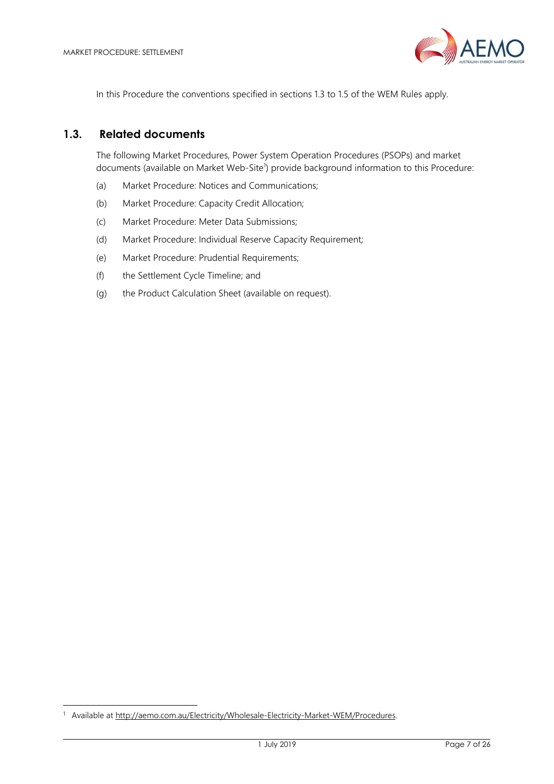

In this Procedure the conventions specified in sections 1.3 to 1.5 of the WEM Rules apply.

#### 1.3. Related documents

The following Market Procedures, Power System Operation Procedures (PSOPs) and market documents (available on Market Web-Site<sup>1</sup>) provide background information to this Procedure:

- (a) Market Procedure: Notices and Communications;
- (b) Market Procedure: Capacity Credit Allocation;
- (c) Market Procedure: Meter Data Submissions;
- (d) Market Procedure: Individual Reserve Capacity Requirement;
- (e) Market Procedure: Prudential Requirements;
- (f) the Settlement Cycle Timeline; and
- (g) the Product Calculation Sheet (available on request).

-

<sup>&</sup>lt;sup>1</sup> Available at http://aemo.com.au/Electricity/Wholesale-Electricity-Market-WEM/Procedures.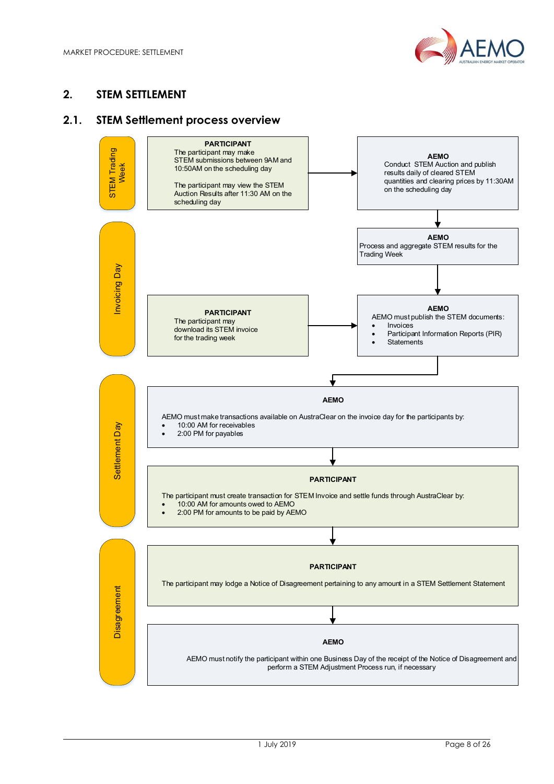

# 2. STEM SETTLEMENT

#### 2.1. STEM Settlement process overview

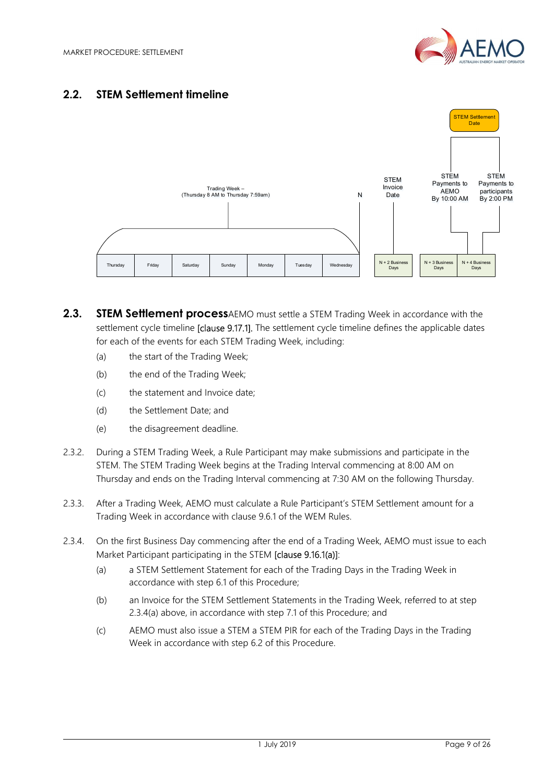

# 2.2. STEM Settlement timeline



- 2.3. STEM Settlement processAEMO must settle a STEM Trading Week in accordance with the settlement cycle timeline [clause 9.17.1]. The settlement cycle timeline defines the applicable dates for each of the events for each STEM Trading Week, including:
	- (a) the start of the Trading Week;
	- (b) the end of the Trading Week;
	- (c) the statement and Invoice date;
	- (d) the Settlement Date; and
	- (e) the disagreement deadline.
- 2.3.2. During a STEM Trading Week, a Rule Participant may make submissions and participate in the STEM. The STEM Trading Week begins at the Trading Interval commencing at 8:00 AM on Thursday and ends on the Trading Interval commencing at 7:30 AM on the following Thursday.
- 2.3.3. After a Trading Week, AEMO must calculate a Rule Participant's STEM Settlement amount for a Trading Week in accordance with clause 9.6.1 of the WEM Rules.
- 2.3.4. On the first Business Day commencing after the end of a Trading Week, AEMO must issue to each Market Participant participating in the STEM [clause 9.16.1(a)]:
	- (a) a STEM Settlement Statement for each of the Trading Days in the Trading Week in accordance with step 6.1 of this Procedure;
	- (b) an Invoice for the STEM Settlement Statements in the Trading Week, referred to at step 2.3.4(a) above, in accordance with step 7.1 of this Procedure; and
	- (c) AEMO must also issue a STEM a STEM PIR for each of the Trading Days in the Trading Week in accordance with step 6.2 of this Procedure.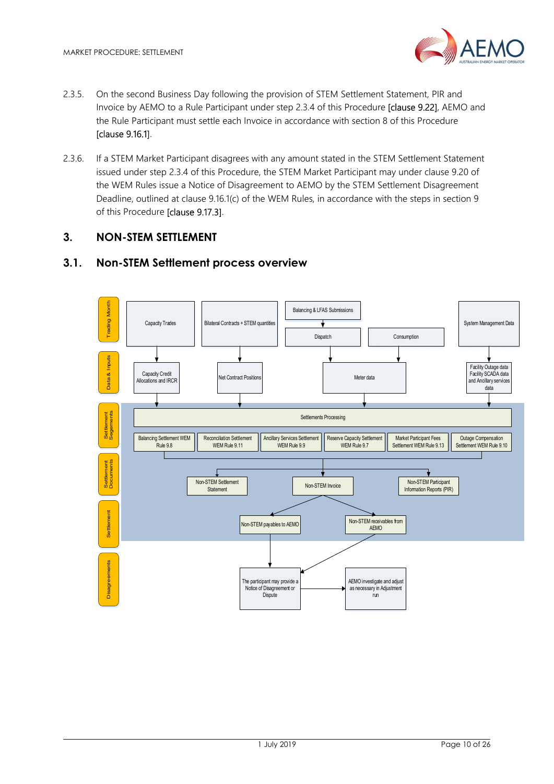

- 2.3.5. On the second Business Day following the provision of STEM Settlement Statement, PIR and Invoice by AEMO to a Rule Participant under step 2.3.4 of this Procedure [clause 9.22], AEMO and the Rule Participant must settle each Invoice in accordance with section 8 of this Procedure [clause 9.16.1].
- 2.3.6. If a STEM Market Participant disagrees with any amount stated in the STEM Settlement Statement issued under step 2.3.4 of this Procedure, the STEM Market Participant may under clause 9.20 of the WEM Rules issue a Notice of Disagreement to AEMO by the STEM Settlement Disagreement Deadline, outlined at clause 9.16.1(c) of the WEM Rules, in accordance with the steps in section 9 of this Procedure [clause 9.17.3].

# 3. NON-STEM SETTLEMENT

# 3.1. Non-STEM Settlement process overview

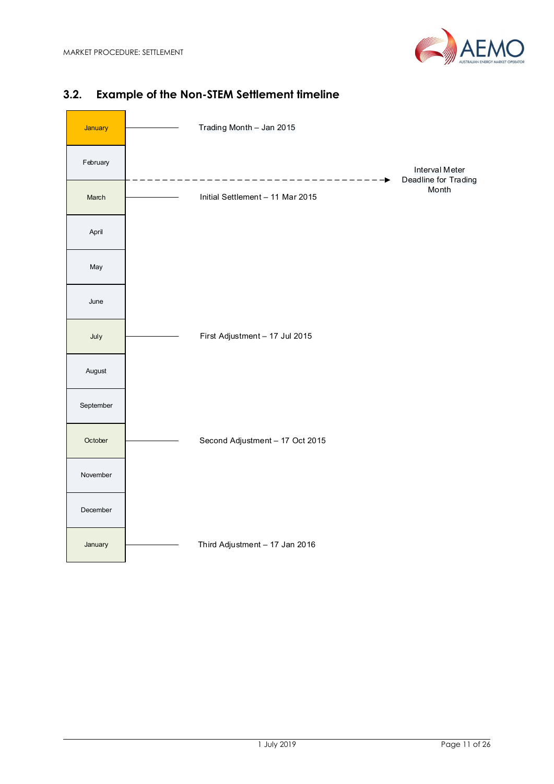

# January Trading Month – Jan 2015 February Interval Meter --------------------------------**-**Deadline for Trading Month March Initial Settlement – 11 Mar 2015 April May a contract the contract of the contract of the contract of the contract of the contract of the contract of the contract of the contract of the contract of the contract of the contract of the contract of the contract of June and the state of the state of the state of the state of the state of the state of the state of the state of the state of the state of the state of the state of the state of the state of the state of the state of the s July First Adjustment – 17 Jul 2015 August September October Second Adjustment – 17 Oct 2015 November December January Third Adjustment – 17 Jan 2016

# 3.2. Example of the Non-STEM Settlement timeline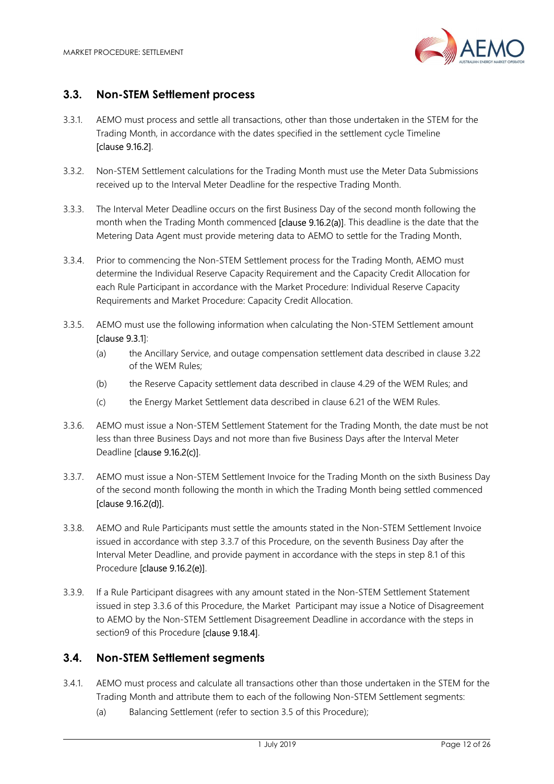

#### 3.3. Non-STEM Settlement process

- 3.3.1. AEMO must process and settle all transactions, other than those undertaken in the STEM for the Trading Month, in accordance with the dates specified in the settlement cycle Timeline [clause 9.16.2].
- 3.3.2. Non-STEM Settlement calculations for the Trading Month must use the Meter Data Submissions received up to the Interval Meter Deadline for the respective Trading Month.
- 3.3.3. The Interval Meter Deadline occurs on the first Business Day of the second month following the month when the Trading Month commenced [clause 9.16.2(a)]. This deadline is the date that the Metering Data Agent must provide metering data to AEMO to settle for the Trading Month.
- 3.3.4. Prior to commencing the Non-STEM Settlement process for the Trading Month, AEMO must determine the Individual Reserve Capacity Requirement and the Capacity Credit Allocation for each Rule Participant in accordance with the Market Procedure: Individual Reserve Capacity Requirements and Market Procedure: Capacity Credit Allocation.
- 3.3.5. AEMO must use the following information when calculating the Non-STEM Settlement amount [clause 9.3.1]:
	- (a) the Ancillary Service, and outage compensation settlement data described in clause 3.22 of the WEM Rules;
	- (b) the Reserve Capacity settlement data described in clause 4.29 of the WEM Rules; and
	- (c) the Energy Market Settlement data described in clause 6.21 of the WEM Rules.
- 3.3.6. AEMO must issue a Non-STEM Settlement Statement for the Trading Month, the date must be not less than three Business Days and not more than five Business Days after the Interval Meter Deadline [clause 9.16.2(c)].
- 3.3.7. AEMO must issue a Non-STEM Settlement Invoice for the Trading Month on the sixth Business Day of the second month following the month in which the Trading Month being settled commenced [clause 9.16.2(d)].
- 3.3.8. AEMO and Rule Participants must settle the amounts stated in the Non-STEM Settlement Invoice issued in accordance with step 3.3.7 of this Procedure, on the seventh Business Day after the Interval Meter Deadline, and provide payment in accordance with the steps in step 8.1 of this Procedure [clause 9.16.2(e)].
- 3.3.9. If a Rule Participant disagrees with any amount stated in the Non-STEM Settlement Statement issued in step 3.3.6 of this Procedure, the Market Participant may issue a Notice of Disagreement to AEMO by the Non-STEM Settlement Disagreement Deadline in accordance with the steps in section9 of this Procedure [clause 9.18.4].

## 3.4. Non-STEM Settlement segments

- 3.4.1. AEMO must process and calculate all transactions other than those undertaken in the STEM for the Trading Month and attribute them to each of the following Non-STEM Settlement segments:
	- (a) Balancing Settlement (refer to section 3.5 of this Procedure);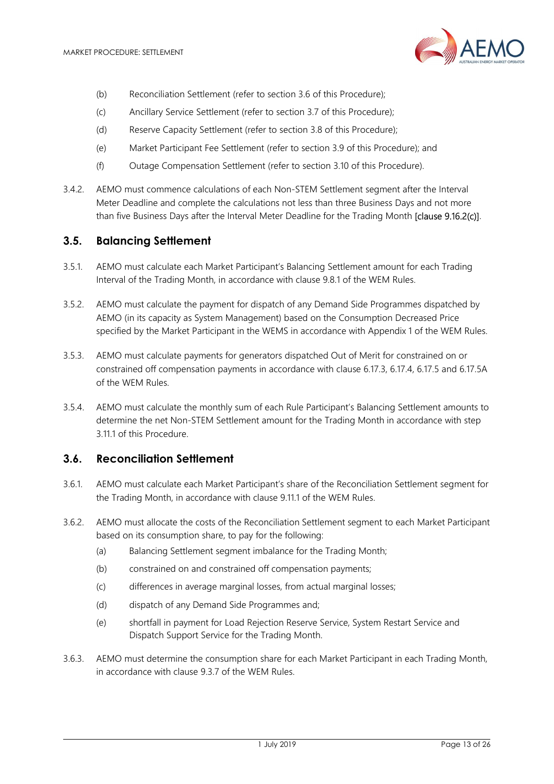

- (b) Reconciliation Settlement (refer to section 3.6 of this Procedure);
- (c) Ancillary Service Settlement (refer to section 3.7 of this Procedure);
- (d) Reserve Capacity Settlement (refer to section 3.8 of this Procedure);
- (e) Market Participant Fee Settlement (refer to section 3.9 of this Procedure); and
- (f) Outage Compensation Settlement (refer to section 3.10 of this Procedure).
- 3.4.2. AEMO must commence calculations of each Non-STEM Settlement segment after the Interval Meter Deadline and complete the calculations not less than three Business Days and not more than five Business Days after the Interval Meter Deadline for the Trading Month [clause 9.16.2(c)].

#### 3.5. Balancing Settlement

- 3.5.1. AEMO must calculate each Market Participant's Balancing Settlement amount for each Trading Interval of the Trading Month, in accordance with clause 9.8.1 of the WEM Rules.
- 3.5.2. AEMO must calculate the payment for dispatch of any Demand Side Programmes dispatched by AEMO (in its capacity as System Management) based on the Consumption Decreased Price specified by the Market Participant in the WEMS in accordance with Appendix 1 of the WEM Rules.
- 3.5.3. AEMO must calculate payments for generators dispatched Out of Merit for constrained on or constrained off compensation payments in accordance with clause 6.17.3, 6.17.4, 6.17.5 and 6.17.5A of the WEM Rules.
- 3.5.4. AEMO must calculate the monthly sum of each Rule Participant's Balancing Settlement amounts to determine the net Non-STEM Settlement amount for the Trading Month in accordance with step 3.11.1 of this Procedure.

#### 3.6. Reconciliation Settlement

- 3.6.1. AEMO must calculate each Market Participant's share of the Reconciliation Settlement segment for the Trading Month, in accordance with clause 9.11.1 of the WEM Rules.
- 3.6.2. AEMO must allocate the costs of the Reconciliation Settlement segment to each Market Participant based on its consumption share, to pay for the following:
	- (a) Balancing Settlement segment imbalance for the Trading Month;
	- (b) constrained on and constrained off compensation payments;
	- (c) differences in average marginal losses, from actual marginal losses;
	- (d) dispatch of any Demand Side Programmes and;
	- (e) shortfall in payment for Load Rejection Reserve Service, System Restart Service and Dispatch Support Service for the Trading Month.
- 3.6.3. AEMO must determine the consumption share for each Market Participant in each Trading Month, in accordance with clause 9.3.7 of the WEM Rules.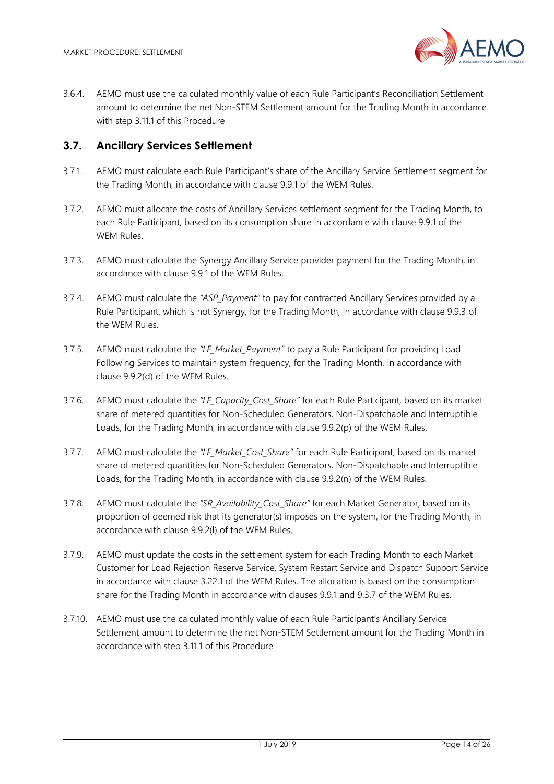

3.6.4. AEMO must use the calculated monthly value of each Rule Participant's Reconciliation Settlement amount to determine the net Non-STEM Settlement amount for the Trading Month in accordance with step 3.11.1 of this Procedure

#### 3.7. Ancillary Services Settlement

- 3.7.1. AEMO must calculate each Rule Participant's share of the Ancillary Service Settlement segment for the Trading Month, in accordance with clause 9.9.1 of the WEM Rules.
- 3.7.2. AEMO must allocate the costs of Ancillary Services settlement segment for the Trading Month, to each Rule Participant, based on its consumption share in accordance with clause 9.9.1 of the WEM Rules.
- 3.7.3. AEMO must calculate the Synergy Ancillary Service provider payment for the Trading Month, in accordance with clause 9.9.1 of the WEM Rules.
- 3.7.4. AEMO must calculate the "ASP\_Payment" to pay for contracted Ancillary Services provided by a Rule Participant, which is not Synergy, for the Trading Month, in accordance with clause 9.9.3 of the WEM Rules.
- 3.7.5. AEMO must calculate the "LF Market Payment" to pay a Rule Participant for providing Load Following Services to maintain system frequency, for the Trading Month, in accordance with clause 9.9.2(d) of the WEM Rules.
- 3.7.6. AEMO must calculate the "LF\_Capacity\_Cost\_Share" for each Rule Participant, based on its market share of metered quantities for Non-Scheduled Generators, Non-Dispatchable and Interruptible Loads, for the Trading Month, in accordance with clause 9.9.2(p) of the WEM Rules.
- 3.7.7. AEMO must calculate the "LF\_Market\_Cost\_Share" for each Rule Participant, based on its market share of metered quantities for Non-Scheduled Generators, Non-Dispatchable and Interruptible Loads, for the Trading Month, in accordance with clause 9.9.2(n) of the WEM Rules.
- 3.7.8. AEMO must calculate the "SR\_Availability\_Cost\_Share" for each Market Generator, based on its proportion of deemed risk that its generator(s) imposes on the system, for the Trading Month, in accordance with clause 9.9.2(l) of the WEM Rules.
- 3.7.9. AEMO must update the costs in the settlement system for each Trading Month to each Market Customer for Load Rejection Reserve Service, System Restart Service and Dispatch Support Service in accordance with clause 3.22.1 of the WEM Rules. The allocation is based on the consumption share for the Trading Month in accordance with clauses 9.9.1 and 9.3.7 of the WEM Rules.
- 3.7.10. AEMO must use the calculated monthly value of each Rule Participant's Ancillary Service Settlement amount to determine the net Non-STEM Settlement amount for the Trading Month in accordance with step 3.11.1 of this Procedure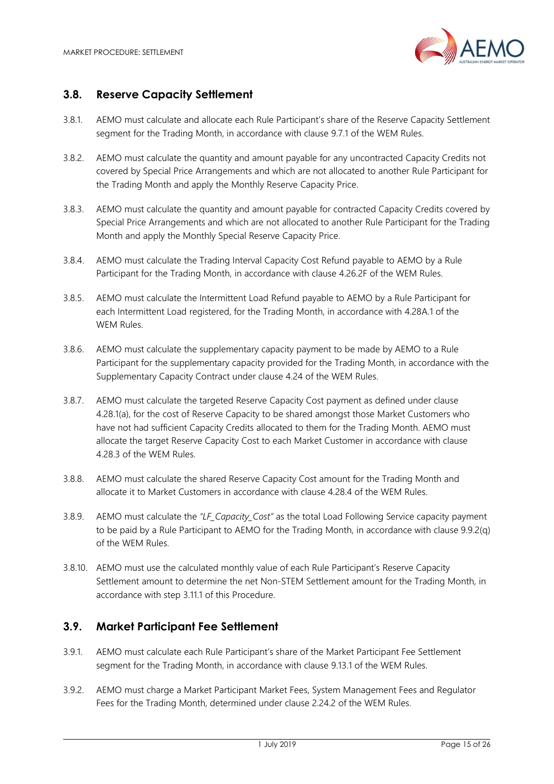

#### 3.8. Reserve Capacity Settlement

- 3.8.1. AEMO must calculate and allocate each Rule Participant's share of the Reserve Capacity Settlement segment for the Trading Month, in accordance with clause 9.7.1 of the WEM Rules.
- 3.8.2. AEMO must calculate the quantity and amount payable for any uncontracted Capacity Credits not covered by Special Price Arrangements and which are not allocated to another Rule Participant for the Trading Month and apply the Monthly Reserve Capacity Price.
- 3.8.3. AEMO must calculate the quantity and amount payable for contracted Capacity Credits covered by Special Price Arrangements and which are not allocated to another Rule Participant for the Trading Month and apply the Monthly Special Reserve Capacity Price.
- 3.8.4. AEMO must calculate the Trading Interval Capacity Cost Refund payable to AEMO by a Rule Participant for the Trading Month, in accordance with clause 4.26.2F of the WEM Rules.
- 3.8.5. AEMO must calculate the Intermittent Load Refund payable to AEMO by a Rule Participant for each Intermittent Load registered, for the Trading Month, in accordance with 4.28A.1 of the WEM Rules.
- 3.8.6. AEMO must calculate the supplementary capacity payment to be made by AEMO to a Rule Participant for the supplementary capacity provided for the Trading Month, in accordance with the Supplementary Capacity Contract under clause 4.24 of the WEM Rules.
- 3.8.7. AEMO must calculate the targeted Reserve Capacity Cost payment as defined under clause 4.28.1(a), for the cost of Reserve Capacity to be shared amongst those Market Customers who have not had sufficient Capacity Credits allocated to them for the Trading Month. AEMO must allocate the target Reserve Capacity Cost to each Market Customer in accordance with clause 4.28.3 of the WEM Rules.
- 3.8.8. AEMO must calculate the shared Reserve Capacity Cost amount for the Trading Month and allocate it to Market Customers in accordance with clause 4.28.4 of the WEM Rules.
- 3.8.9. AEMO must calculate the "LF Capacity Cost" as the total Load Following Service capacity payment to be paid by a Rule Participant to AEMO for the Trading Month, in accordance with clause 9.9.2(q) of the WEM Rules.
- 3.8.10. AEMO must use the calculated monthly value of each Rule Participant's Reserve Capacity Settlement amount to determine the net Non-STEM Settlement amount for the Trading Month, in accordance with step 3.11.1 of this Procedure.

#### 3.9. Market Participant Fee Settlement

- 3.9.1. AEMO must calculate each Rule Participant's share of the Market Participant Fee Settlement segment for the Trading Month, in accordance with clause 9.13.1 of the WEM Rules.
- 3.9.2. AEMO must charge a Market Participant Market Fees, System Management Fees and Regulator Fees for the Trading Month, determined under clause 2.24.2 of the WEM Rules.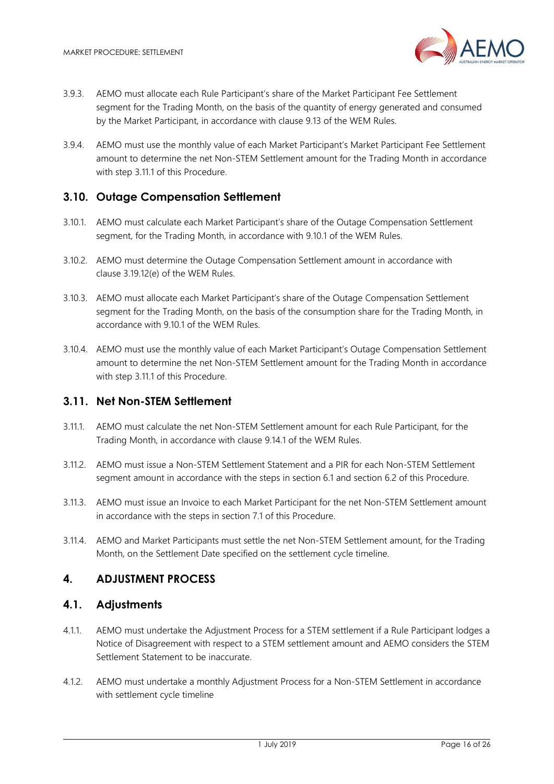

- 3.9.3. AEMO must allocate each Rule Participant's share of the Market Participant Fee Settlement segment for the Trading Month, on the basis of the quantity of energy generated and consumed by the Market Participant, in accordance with clause 9.13 of the WEM Rules.
- 3.9.4. AEMO must use the monthly value of each Market Participant's Market Participant Fee Settlement amount to determine the net Non-STEM Settlement amount for the Trading Month in accordance with step 3.11.1 of this Procedure.

#### 3.10. Outage Compensation Settlement

- 3.10.1. AEMO must calculate each Market Participant's share of the Outage Compensation Settlement segment, for the Trading Month, in accordance with 9.10.1 of the WEM Rules.
- 3.10.2. AEMO must determine the Outage Compensation Settlement amount in accordance with clause 3.19.12(e) of the WEM Rules.
- 3.10.3. AEMO must allocate each Market Participant's share of the Outage Compensation Settlement segment for the Trading Month, on the basis of the consumption share for the Trading Month, in accordance with 9.10.1 of the WEM Rules.
- 3.10.4. AEMO must use the monthly value of each Market Participant's Outage Compensation Settlement amount to determine the net Non-STEM Settlement amount for the Trading Month in accordance with step 3.11.1 of this Procedure.

#### 3.11. Net Non-STEM Settlement

- 3.11.1. AEMO must calculate the net Non-STEM Settlement amount for each Rule Participant, for the Trading Month, in accordance with clause 9.14.1 of the WEM Rules.
- 3.11.2. AEMO must issue a Non-STEM Settlement Statement and a PIR for each Non-STEM Settlement segment amount in accordance with the steps in section 6.1 and section 6.2 of this Procedure.
- 3.11.3. AEMO must issue an Invoice to each Market Participant for the net Non-STEM Settlement amount in accordance with the steps in section 7.1 of this Procedure.
- 3.11.4. AEMO and Market Participants must settle the net Non-STEM Settlement amount, for the Trading Month, on the Settlement Date specified on the settlement cycle timeline.

#### 4. ADJUSTMENT PROCESS

#### 4.1. Adjustments

- 4.1.1. AEMO must undertake the Adjustment Process for a STEM settlement if a Rule Participant lodges a Notice of Disagreement with respect to a STEM settlement amount and AEMO considers the STEM Settlement Statement to be inaccurate.
- 4.1.2. AEMO must undertake a monthly Adjustment Process for a Non-STEM Settlement in accordance with settlement cycle timeline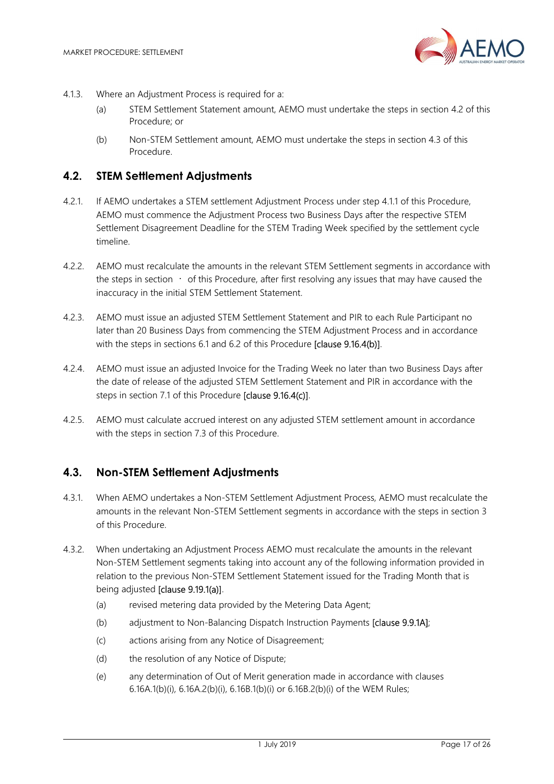

- 4.1.3. Where an Adjustment Process is required for a:
	- (a) STEM Settlement Statement amount, AEMO must undertake the steps in section 4.2 of this Procedure; or
	- (b) Non-STEM Settlement amount, AEMO must undertake the steps in section 4.3 of this Procedure.

#### 4.2. STEM Settlement Adjustments

- 4.2.1. If AEMO undertakes a STEM settlement Adjustment Process under step 4.1.1 of this Procedure, AEMO must commence the Adjustment Process two Business Days after the respective STEM Settlement Disagreement Deadline for the STEM Trading Week specified by the settlement cycle timeline.
- 4.2.2. AEMO must recalculate the amounts in the relevant STEM Settlement segments in accordance with the steps in section  $\cdot$  of this Procedure, after first resolving any issues that may have caused the inaccuracy in the initial STEM Settlement Statement.
- 4.2.3. AEMO must issue an adjusted STEM Settlement Statement and PIR to each Rule Participant no later than 20 Business Days from commencing the STEM Adjustment Process and in accordance with the steps in sections 6.1 and 6.2 of this Procedure [clause 9.16.4(b)].
- 4.2.4. AEMO must issue an adjusted Invoice for the Trading Week no later than two Business Days after the date of release of the adjusted STEM Settlement Statement and PIR in accordance with the steps in section 7.1 of this Procedure [clause 9.16.4(c)].
- 4.2.5. AEMO must calculate accrued interest on any adjusted STEM settlement amount in accordance with the steps in section 7.3 of this Procedure.

# 4.3. Non-STEM Settlement Adjustments

- 4.3.1. When AEMO undertakes a Non-STEM Settlement Adjustment Process, AEMO must recalculate the amounts in the relevant Non-STEM Settlement segments in accordance with the steps in section 3 of this Procedure.
- 4.3.2. When undertaking an Adjustment Process AEMO must recalculate the amounts in the relevant Non-STEM Settlement segments taking into account any of the following information provided in relation to the previous Non-STEM Settlement Statement issued for the Trading Month that is being adjusted [clause 9.19.1(a)].
	- (a) revised metering data provided by the Metering Data Agent;
	- (b) adjustment to Non-Balancing Dispatch Instruction Payments [clause 9.9.1A];
	- (c) actions arising from any Notice of Disagreement;
	- (d) the resolution of any Notice of Dispute;
	- (e) any determination of Out of Merit generation made in accordance with clauses 6.16A.1(b)(i), 6.16A.2(b)(i), 6.16B.1(b)(i) or 6.16B.2(b)(i) of the WEM Rules;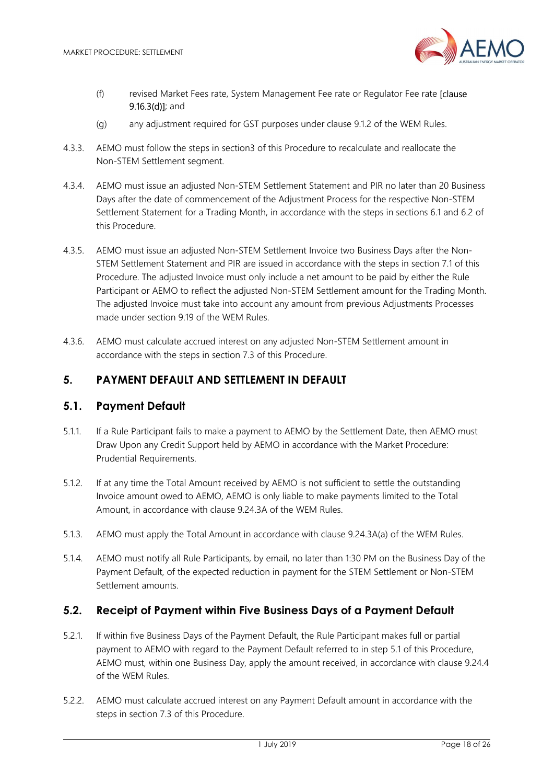

- (f) revised Market Fees rate, System Management Fee rate or Regulator Fee rate [clause 9.16.3(d)]; and
- (g) any adjustment required for GST purposes under clause 9.1.2 of the WEM Rules.
- 4.3.3. AEMO must follow the steps in section3 of this Procedure to recalculate and reallocate the Non-STEM Settlement segment.
- 4.3.4. AEMO must issue an adjusted Non-STEM Settlement Statement and PIR no later than 20 Business Days after the date of commencement of the Adjustment Process for the respective Non-STEM Settlement Statement for a Trading Month, in accordance with the steps in sections 6.1 and 6.2 of this Procedure.
- 4.3.5. AEMO must issue an adjusted Non-STEM Settlement Invoice two Business Days after the Non-STEM Settlement Statement and PIR are issued in accordance with the steps in section 7.1 of this Procedure. The adjusted Invoice must only include a net amount to be paid by either the Rule Participant or AEMO to reflect the adjusted Non-STEM Settlement amount for the Trading Month. The adjusted Invoice must take into account any amount from previous Adjustments Processes made under section 9.19 of the WEM Rules.
- 4.3.6. AEMO must calculate accrued interest on any adjusted Non-STEM Settlement amount in accordance with the steps in section 7.3 of this Procedure.

#### 5. PAYMENT DEFAULT AND SETTLEMENT IN DEFAULT

#### 5.1. Payment Default

- 5.1.1. If a Rule Participant fails to make a payment to AEMO by the Settlement Date, then AEMO must Draw Upon any Credit Support held by AEMO in accordance with the Market Procedure: Prudential Requirements.
- 5.1.2. If at any time the Total Amount received by AEMO is not sufficient to settle the outstanding Invoice amount owed to AEMO, AEMO is only liable to make payments limited to the Total Amount, in accordance with clause 9.24.3A of the WEM Rules.
- 5.1.3. AEMO must apply the Total Amount in accordance with clause 9.24.3A(a) of the WEM Rules.
- 5.1.4. AEMO must notify all Rule Participants, by email, no later than 1:30 PM on the Business Day of the Payment Default, of the expected reduction in payment for the STEM Settlement or Non-STEM Settlement amounts.

#### 5.2. Receipt of Payment within Five Business Days of a Payment Default

- 5.2.1. If within five Business Days of the Payment Default, the Rule Participant makes full or partial payment to AEMO with regard to the Payment Default referred to in step 5.1 of this Procedure, AEMO must, within one Business Day, apply the amount received, in accordance with clause 9.24.4 of the WEM Rules.
- 5.2.2. AEMO must calculate accrued interest on any Payment Default amount in accordance with the steps in section 7.3 of this Procedure.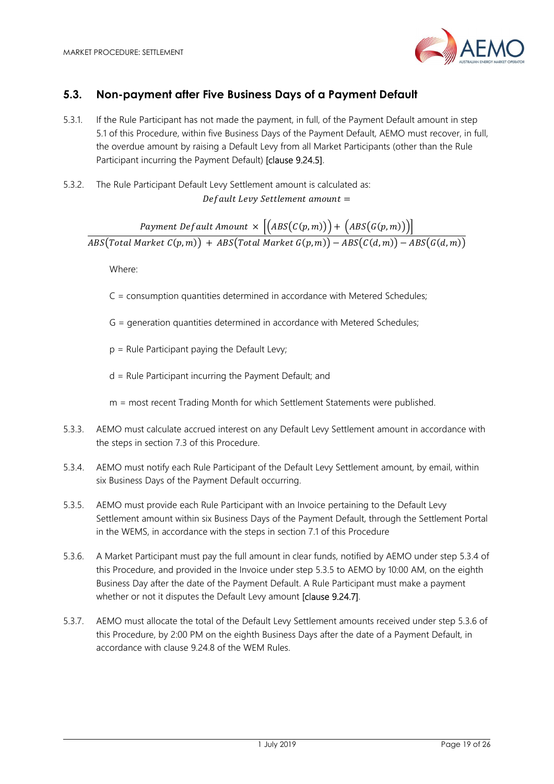

# 5.3. Non-payment after Five Business Days of a Payment Default

- 5.3.1. If the Rule Participant has not made the payment, in full, of the Payment Default amount in step 5.1 of this Procedure, within five Business Days of the Payment Default, AEMO must recover, in full, the overdue amount by raising a Default Levy from all Market Participants (other than the Rule Participant incurring the Payment Default) [clause 9.24.5].
- 5.3.2. The Rule Participant Default Levy Settlement amount is calculated as: Default Levy Settlement amount =

Payment Default Amount  $\times \left| \left( ABS(C(p,m)) \right) + \left( ABS(G(p,m)) \right) \right|$  $\overline{ABS\big(Total\ Market\ C(p,m)\big)+ABS\big(Total\ Market\ G(p,m)\big)-ABS\big(C(d,m)\big)-ABS\big(G(d,m)\big)}$ 

Where:

- C = consumption quantities determined in accordance with Metered Schedules;
- G = generation quantities determined in accordance with Metered Schedules;
- p = Rule Participant paying the Default Levy;
- d = Rule Participant incurring the Payment Default; and

m = most recent Trading Month for which Settlement Statements were published.

- 5.3.3. AEMO must calculate accrued interest on any Default Levy Settlement amount in accordance with the steps in section 7.3 of this Procedure.
- 5.3.4. AEMO must notify each Rule Participant of the Default Levy Settlement amount, by email, within six Business Days of the Payment Default occurring.
- 5.3.5. AEMO must provide each Rule Participant with an Invoice pertaining to the Default Levy Settlement amount within six Business Days of the Payment Default, through the Settlement Portal in the WEMS, in accordance with the steps in section 7.1 of this Procedure
- 5.3.6. A Market Participant must pay the full amount in clear funds, notified by AEMO under step 5.3.4 of this Procedure, and provided in the Invoice under step 5.3.5 to AEMO by 10:00 AM, on the eighth Business Day after the date of the Payment Default. A Rule Participant must make a payment whether or not it disputes the Default Levy amount **Iclause 9.24.71**.
- 5.3.7. AEMO must allocate the total of the Default Levy Settlement amounts received under step 5.3.6 of this Procedure, by 2:00 PM on the eighth Business Days after the date of a Payment Default, in accordance with clause 9.24.8 of the WEM Rules.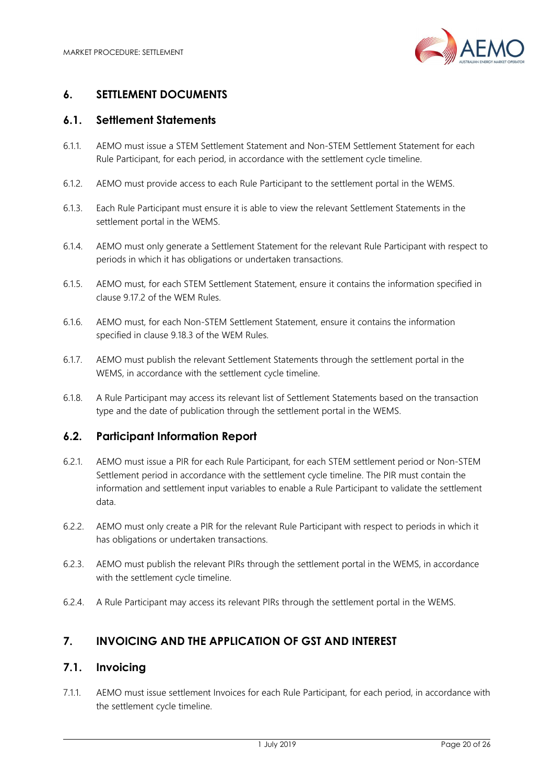

# 6. SETTLEMENT DOCUMENTS

#### 6.1. Settlement Statements

- 6.1.1. AEMO must issue a STEM Settlement Statement and Non-STEM Settlement Statement for each Rule Participant, for each period, in accordance with the settlement cycle timeline.
- 6.1.2. AEMO must provide access to each Rule Participant to the settlement portal in the WEMS.
- 6.1.3. Each Rule Participant must ensure it is able to view the relevant Settlement Statements in the settlement portal in the WEMS.
- 6.1.4. AEMO must only generate a Settlement Statement for the relevant Rule Participant with respect to periods in which it has obligations or undertaken transactions.
- 6.1.5. AEMO must, for each STEM Settlement Statement, ensure it contains the information specified in clause 9.17.2 of the WEM Rules.
- 6.1.6. AEMO must, for each Non-STEM Settlement Statement, ensure it contains the information specified in clause 9.18.3 of the WEM Rules.
- 6.1.7. AEMO must publish the relevant Settlement Statements through the settlement portal in the WEMS, in accordance with the settlement cycle timeline.
- 6.1.8. A Rule Participant may access its relevant list of Settlement Statements based on the transaction type and the date of publication through the settlement portal in the WEMS.

#### 6.2. Participant Information Report

- 6.2.1. AEMO must issue a PIR for each Rule Participant, for each STEM settlement period or Non-STEM Settlement period in accordance with the settlement cycle timeline. The PIR must contain the information and settlement input variables to enable a Rule Participant to validate the settlement data.
- 6.2.2. AEMO must only create a PIR for the relevant Rule Participant with respect to periods in which it has obligations or undertaken transactions.
- 6.2.3. AEMO must publish the relevant PIRs through the settlement portal in the WEMS, in accordance with the settlement cycle timeline.
- 6.2.4. A Rule Participant may access its relevant PIRs through the settlement portal in the WEMS.

# 7. INVOICING AND THE APPLICATION OF GST AND INTEREST

# 7.1. Invoicing

7.1.1. AEMO must issue settlement Invoices for each Rule Participant, for each period, in accordance with the settlement cycle timeline.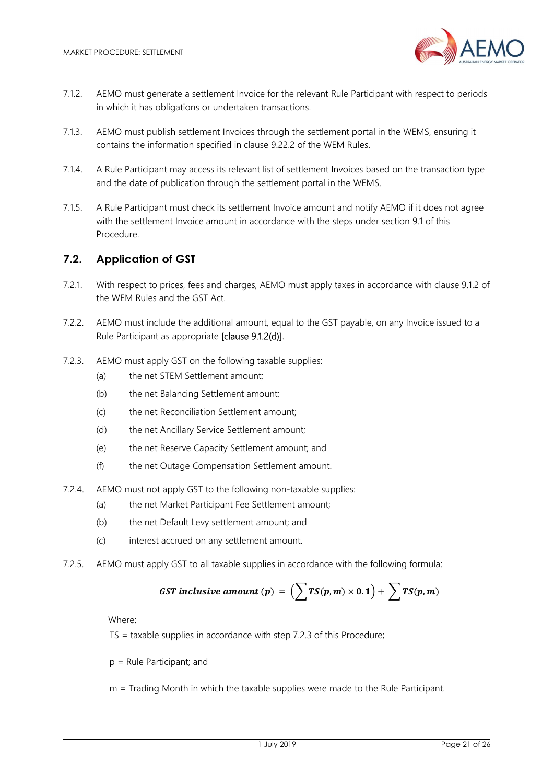

- 7.1.2. AEMO must generate a settlement Invoice for the relevant Rule Participant with respect to periods in which it has obligations or undertaken transactions.
- 7.1.3. AEMO must publish settlement Invoices through the settlement portal in the WEMS, ensuring it contains the information specified in clause 9.22.2 of the WEM Rules.
- 7.1.4. A Rule Participant may access its relevant list of settlement Invoices based on the transaction type and the date of publication through the settlement portal in the WEMS.
- 7.1.5. A Rule Participant must check its settlement Invoice amount and notify AEMO if it does not agree with the settlement Invoice amount in accordance with the steps under section 9.1 of this Procedure.

#### 7.2. Application of GST

- 7.2.1. With respect to prices, fees and charges, AEMO must apply taxes in accordance with clause 9.1.2 of the WEM Rules and the GST Act.
- 7.2.2. AEMO must include the additional amount, equal to the GST payable, on any Invoice issued to a Rule Participant as appropriate [clause 9.1.2(d)].
- 7.2.3. AEMO must apply GST on the following taxable supplies:
	- (a) the net STEM Settlement amount;
	- (b) the net Balancing Settlement amount;
	- (c) the net Reconciliation Settlement amount;
	- (d) the net Ancillary Service Settlement amount;
	- (e) the net Reserve Capacity Settlement amount; and
	- (f) the net Outage Compensation Settlement amount.
- 7.2.4. AEMO must not apply GST to the following non-taxable supplies:
	- (a) the net Market Participant Fee Settlement amount;
	- (b) the net Default Levy settlement amount; and
	- (c) interest accrued on any settlement amount.
- 7.2.5. AEMO must apply GST to all taxable supplies in accordance with the following formula:

**GST** inclusive amount (p) = 
$$
(\sum TS(p,m) \times 0.1) + \sum TS(p,m)
$$

Where:

TS = taxable supplies in accordance with step 7.2.3 of this Procedure;

- p = Rule Participant; and
- m = Trading Month in which the taxable supplies were made to the Rule Participant.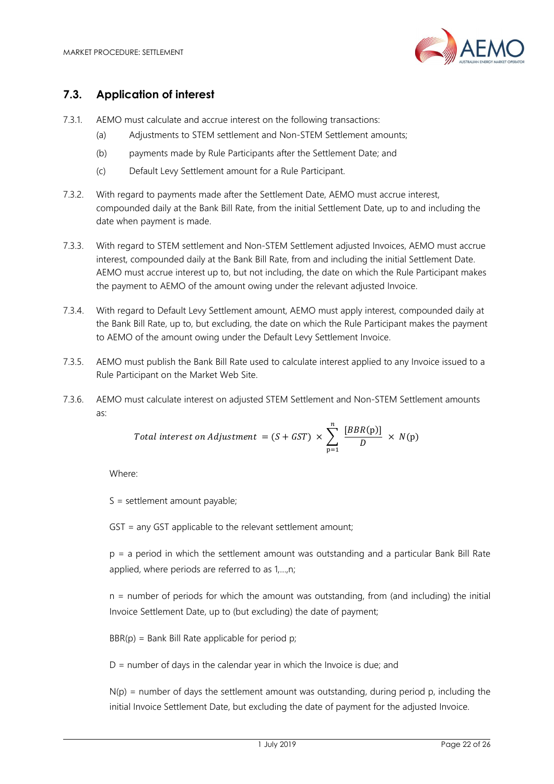

## 7.3. Application of interest

- 7.3.1. AEMO must calculate and accrue interest on the following transactions:
	- (a) Adjustments to STEM settlement and Non-STEM Settlement amounts;
	- (b) payments made by Rule Participants after the Settlement Date; and
	- (c) Default Levy Settlement amount for a Rule Participant.
- 7.3.2. With regard to payments made after the Settlement Date, AEMO must accrue interest, compounded daily at the Bank Bill Rate, from the initial Settlement Date, up to and including the date when payment is made.
- 7.3.3. With regard to STEM settlement and Non-STEM Settlement adjusted Invoices, AEMO must accrue interest, compounded daily at the Bank Bill Rate, from and including the initial Settlement Date. AEMO must accrue interest up to, but not including, the date on which the Rule Participant makes the payment to AEMO of the amount owing under the relevant adjusted Invoice.
- 7.3.4. With regard to Default Levy Settlement amount, AEMO must apply interest, compounded daily at the Bank Bill Rate, up to, but excluding, the date on which the Rule Participant makes the payment to AEMO of the amount owing under the Default Levy Settlement Invoice.
- 7.3.5. AEMO must publish the Bank Bill Rate used to calculate interest applied to any Invoice issued to a Rule Participant on the Market Web Site.
- 7.3.6. AEMO must calculate interest on adjusted STEM Settlement and Non-STEM Settlement amounts as:

Total interest on Adjustment = 
$$
(S + GST) \times \sum_{p=1}^{n} \frac{[BBR(p)]}{D} \times N(p)
$$

Where:

S = settlement amount payable;

GST = any GST applicable to the relevant settlement amount;

p = a period in which the settlement amount was outstanding and a particular Bank Bill Rate applied, where periods are referred to as 1,…,n;

n = number of periods for which the amount was outstanding, from (and including) the initial Invoice Settlement Date, up to (but excluding) the date of payment;

 $BBR(p) = Bank Bill Rate applicable for period p;$ 

 $D =$  number of days in the calendar year in which the Invoice is due; and

 $N(p)$  = number of days the settlement amount was outstanding, during period p, including the initial Invoice Settlement Date, but excluding the date of payment for the adjusted Invoice.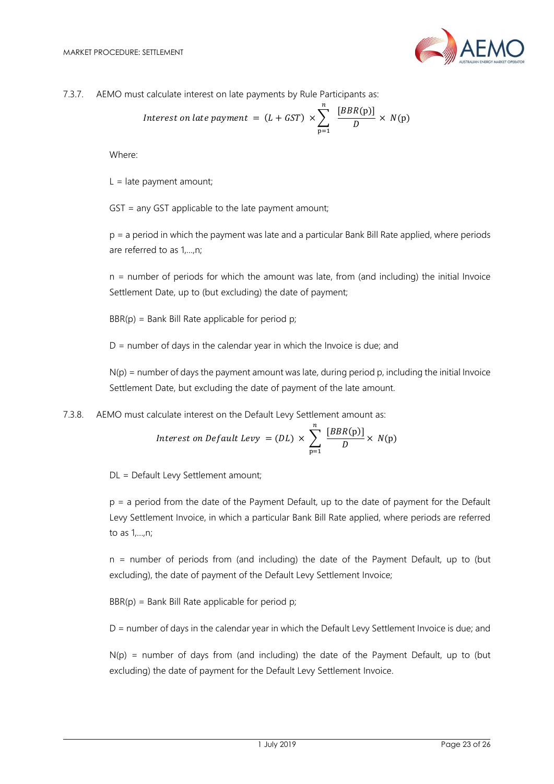

7.3.7. AEMO must calculate interest on late payments by Rule Participants as:

Interest on late payment = 
$$
(L + GST) \times \sum_{p=1}^{n} \frac{[BBR(p)]}{D} \times N(p)
$$

Where:

 $L =$  late payment amount;

GST = any GST applicable to the late payment amount;

p = a period in which the payment was late and a particular Bank Bill Rate applied, where periods are referred to as 1,…,n;

n = number of periods for which the amount was late, from (and including) the initial Invoice Settlement Date, up to (but excluding) the date of payment;

 $BBR(p) = Bank Bill Rate applicable for period p;$ 

 $D =$  number of days in the calendar year in which the Invoice is due; and

 $N(p)$  = number of days the payment amount was late, during period p, including the initial Invoice Settlement Date, but excluding the date of payment of the late amount.

7.3.8. AEMO must calculate interest on the Default Levy Settlement amount as:

Interest on Default Levy = (DL) 
$$
\times \sum_{p=1}^{n} \frac{[BBR(p)]}{D} \times N(p)
$$

DL = Default Levy Settlement amount;

p = a period from the date of the Payment Default, up to the date of payment for the Default Levy Settlement Invoice, in which a particular Bank Bill Rate applied, where periods are referred to as 1,…,n;

n = number of periods from (and including) the date of the Payment Default, up to (but excluding), the date of payment of the Default Levy Settlement Invoice;

 $BBR(p) = Bank Bill Rate applicable for period p;$ 

D = number of days in the calendar year in which the Default Levy Settlement Invoice is due; and

 $N(p)$  = number of days from (and including) the date of the Payment Default, up to (but excluding) the date of payment for the Default Levy Settlement Invoice.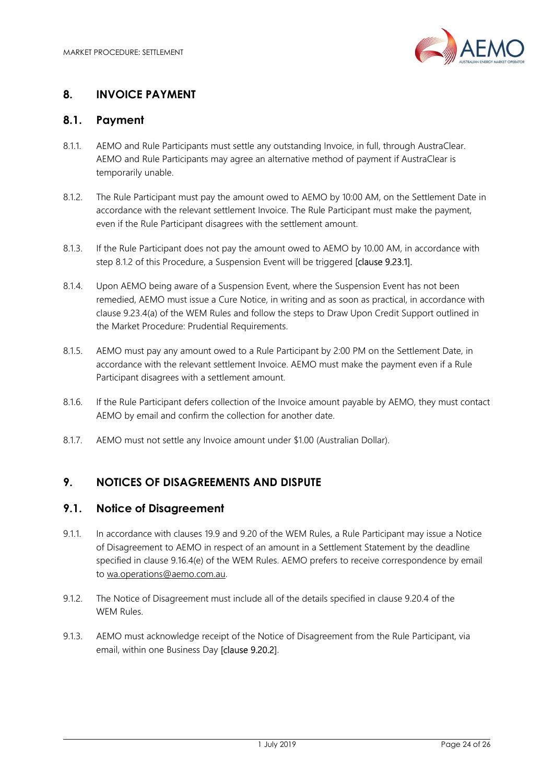

# 8. INVOICE PAYMENT

#### 8.1. Payment

- 8.1.1. AEMO and Rule Participants must settle any outstanding Invoice, in full, through AustraClear. AEMO and Rule Participants may agree an alternative method of payment if AustraClear is temporarily unable.
- 8.1.2. The Rule Participant must pay the amount owed to AEMO by 10:00 AM, on the Settlement Date in accordance with the relevant settlement Invoice. The Rule Participant must make the payment, even if the Rule Participant disagrees with the settlement amount.
- 8.1.3. If the Rule Participant does not pay the amount owed to AEMO by 10.00 AM, in accordance with step 8.1.2 of this Procedure, a Suspension Event will be triggered [clause 9.23.1].
- 8.1.4. Upon AEMO being aware of a Suspension Event, where the Suspension Event has not been remedied, AEMO must issue a Cure Notice, in writing and as soon as practical, in accordance with clause 9.23.4(a) of the WEM Rules and follow the steps to Draw Upon Credit Support outlined in the Market Procedure: Prudential Requirements.
- 8.1.5. AEMO must pay any amount owed to a Rule Participant by 2:00 PM on the Settlement Date, in accordance with the relevant settlement Invoice. AEMO must make the payment even if a Rule Participant disagrees with a settlement amount.
- 8.1.6. If the Rule Participant defers collection of the Invoice amount payable by AEMO, they must contact AEMO by email and confirm the collection for another date.
- 8.1.7. AEMO must not settle any Invoice amount under \$1.00 (Australian Dollar).

# 9. NOTICES OF DISAGREEMENTS AND DISPUTE

#### 9.1. Notice of Disagreement

- 9.1.1. In accordance with clauses 19.9 and 9.20 of the WEM Rules, a Rule Participant may issue a Notice of Disagreement to AEMO in respect of an amount in a Settlement Statement by the deadline specified in clause 9.16.4(e) of the WEM Rules. AEMO prefers to receive correspondence by email to wa.operations@aemo.com.au.
- 9.1.2. The Notice of Disagreement must include all of the details specified in clause 9.20.4 of the WEM Rules.
- 9.1.3. AEMO must acknowledge receipt of the Notice of Disagreement from the Rule Participant, via email, within one Business Day [clause 9.20.2].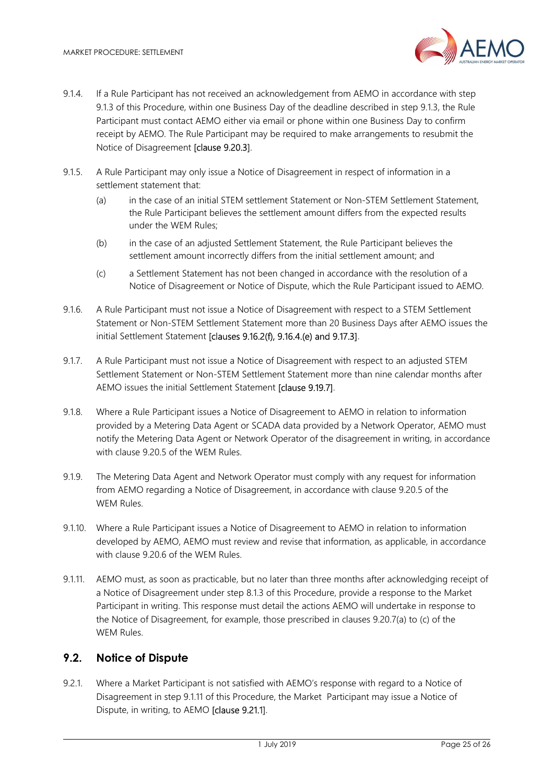

- 9.1.4. If a Rule Participant has not received an acknowledgement from AEMO in accordance with step 9.1.3 of this Procedure, within one Business Day of the deadline described in step 9.1.3, the Rule Participant must contact AEMO either via email or phone within one Business Day to confirm receipt by AEMO. The Rule Participant may be required to make arrangements to resubmit the Notice of Disagreement [clause 9.20.3].
- 9.1.5. A Rule Participant may only issue a Notice of Disagreement in respect of information in a settlement statement that:
	- (a) in the case of an initial STEM settlement Statement or Non-STEM Settlement Statement, the Rule Participant believes the settlement amount differs from the expected results under the WEM Rules;
	- (b) in the case of an adjusted Settlement Statement, the Rule Participant believes the settlement amount incorrectly differs from the initial settlement amount; and
	- (c) a Settlement Statement has not been changed in accordance with the resolution of a Notice of Disagreement or Notice of Dispute, which the Rule Participant issued to AEMO.
- 9.1.6. A Rule Participant must not issue a Notice of Disagreement with respect to a STEM Settlement Statement or Non-STEM Settlement Statement more than 20 Business Days after AEMO issues the initial Settlement Statement [clauses 9.16.2(f), 9.16.4.(e) and 9.17.3].
- 9.1.7. A Rule Participant must not issue a Notice of Disagreement with respect to an adjusted STEM Settlement Statement or Non-STEM Settlement Statement more than nine calendar months after AEMO issues the initial Settlement Statement [clause 9.19.7].
- 9.1.8. Where a Rule Participant issues a Notice of Disagreement to AEMO in relation to information provided by a Metering Data Agent or SCADA data provided by a Network Operator, AEMO must notify the Metering Data Agent or Network Operator of the disagreement in writing, in accordance with clause 9.20.5 of the WEM Rules.
- 9.1.9. The Metering Data Agent and Network Operator must comply with any request for information from AEMO regarding a Notice of Disagreement, in accordance with clause 9.20.5 of the WEM Rules.
- 9.1.10. Where a Rule Participant issues a Notice of Disagreement to AEMO in relation to information developed by AEMO, AEMO must review and revise that information, as applicable, in accordance with clause 9.20.6 of the WEM Rules.
- 9.1.11. AEMO must, as soon as practicable, but no later than three months after acknowledging receipt of a Notice of Disagreement under step 8.1.3 of this Procedure, provide a response to the Market Participant in writing. This response must detail the actions AEMO will undertake in response to the Notice of Disagreement, for example, those prescribed in clauses 9.20.7(a) to (c) of the WEM Rules.

# 9.2. Notice of Dispute

9.2.1. Where a Market Participant is not satisfied with AEMO's response with regard to a Notice of Disagreement in step 9.1.11 of this Procedure, the Market Participant may issue a Notice of Dispute, in writing, to AEMO [clause 9.21.1].